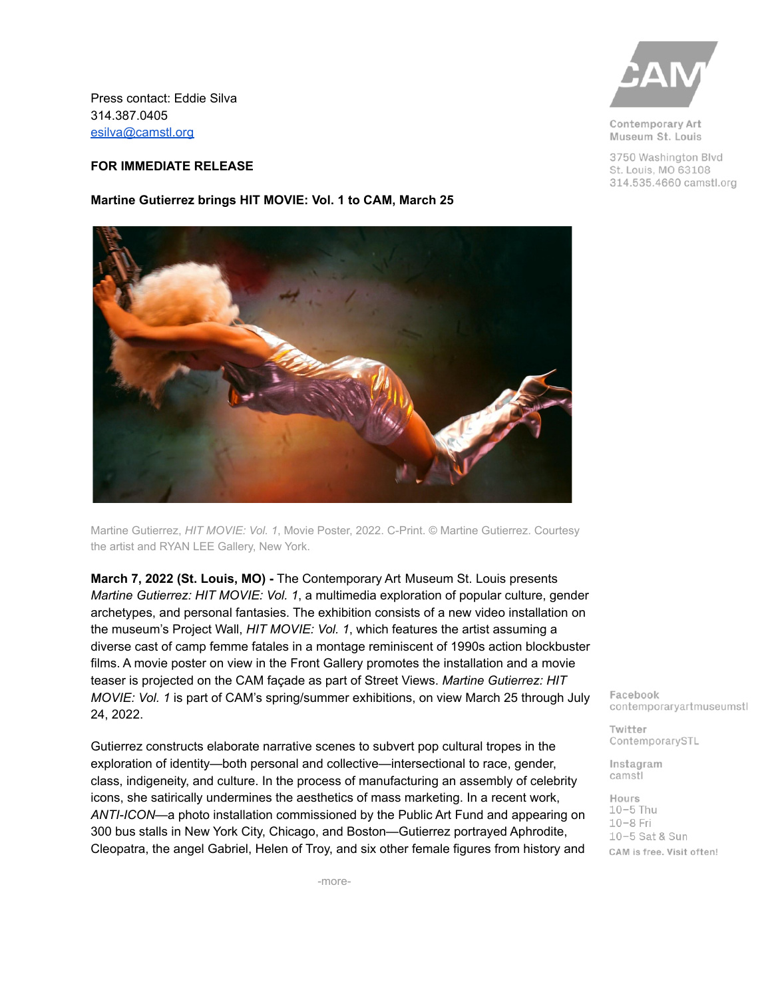Press contact: Eddie Silva 314.387.0405 [esilva@camstl.org](mailto:esilva@camstl.org)

## **FOR IMMEDIATE RELEASE**

## **Martine Gutierrez brings HIT MOVIE: Vol. 1 to CAM, March 25**



Martine Gutierrez, *HIT MOVIE: Vol. 1*, Movie Poster, 2022. C-Print. © Martine Gutierrez. Courtesy the artist and RYAN LEE Gallery, New York.

**March 7, 2022 (St. Louis, MO) -** The Contemporary Art Museum St. Louis presents *Martine Gutierrez: HIT MOVIE: Vol. 1*, a multimedia exploration of popular culture, gender archetypes, and personal fantasies. The exhibition consists of a new video installation on the museum's Project Wall, *HIT MOVIE: Vol. 1*, which features the artist assuming a diverse cast of camp femme fatales in a montage reminiscent of 1990s action blockbuster films. A movie poster on view in the Front Gallery promotes the installation and a movie teaser is projected on the CAM façade as part of Street Views. *Martine Gutierrez: HIT MOVIE: Vol. 1* is part of CAM's spring/summer exhibitions, on view March 25 through July 24, 2022.

Gutierrez constructs elaborate narrative scenes to subvert pop cultural tropes in the exploration of identity—both personal and collective—intersectional to race, gender, class, indigeneity, and culture. In the process of manufacturing an assembly of celebrity icons, she satirically undermines the aesthetics of mass marketing. In a recent work, *ANTI-ICON*—a photo installation commissioned by the Public Art Fund and appearing on 300 bus stalls in New York City, Chicago, and Boston—Gutierrez portrayed Aphrodite, Cleopatra, the angel Gabriel, Helen of Troy, and six other female figures from history and



Contemporary Art Museum St. Louis

3750 Washington Blvd St. Louis, MO 63108 314.535.4660 camstl.org

Facebook contemporaryartmuseumstl

Twitter ContemporarySTL

Instagram camstl

Hours  $10-5$  Thu  $10-8$  Fri 10-5 Sat & Sun CAM is free. Visit often!

-more-